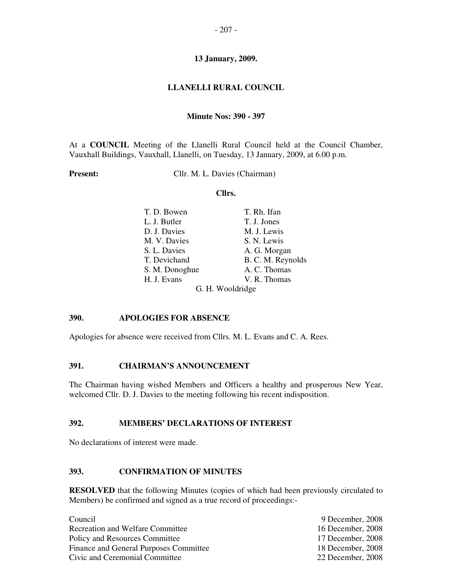# **LLANELLI RURAL COUNCIL**

### **Minute Nos: 390 - 397**

At a **COUNCIL** Meeting of the Llanelli Rural Council held at the Council Chamber, Vauxhall Buildings, Vauxhall, Llanelli, on Tuesday, 13 January, 2009, at 6.00 p.m.

**Present:** Cllr. M. L. Davies (Chairman)

#### **Cllrs.**

| T. D. Bowen    | T. Rh. Ifan       |  |  |
|----------------|-------------------|--|--|
| L. J. Butler   | T. J. Jones       |  |  |
| D. J. Davies   | M. J. Lewis       |  |  |
| M. V. Davies   | S. N. Lewis       |  |  |
| S. L. Davies   | A. G. Morgan      |  |  |
| T. Devichand   | B. C. M. Reynolds |  |  |
| S. M. Donoghue | A. C. Thomas      |  |  |
| H. J. Evans    | V. R. Thomas      |  |  |
|                | G. H. Wooldridge  |  |  |

### **390. APOLOGIES FOR ABSENCE**

Apologies for absence were received from Cllrs. M. L. Evans and C. A. Rees.

# **391. CHAIRMAN'S ANNOUNCEMENT**

The Chairman having wished Members and Officers a healthy and prosperous New Year, welcomed Cllr. D. J. Davies to the meeting following his recent indisposition.

# **392. MEMBERS' DECLARATIONS OF INTEREST**

No declarations of interest were made.

# **393. CONFIRMATION OF MINUTES**

**RESOLVED** that the following Minutes (copies of which had been previously circulated to Members) be confirmed and signed as a true record of proceedings:-

| Council                                | 9 December, 2008  |
|----------------------------------------|-------------------|
| Recreation and Welfare Committee       | 16 December, 2008 |
| Policy and Resources Committee         | 17 December, 2008 |
| Finance and General Purposes Committee | 18 December, 2008 |
| Civic and Ceremonial Committee         | 22 December, 2008 |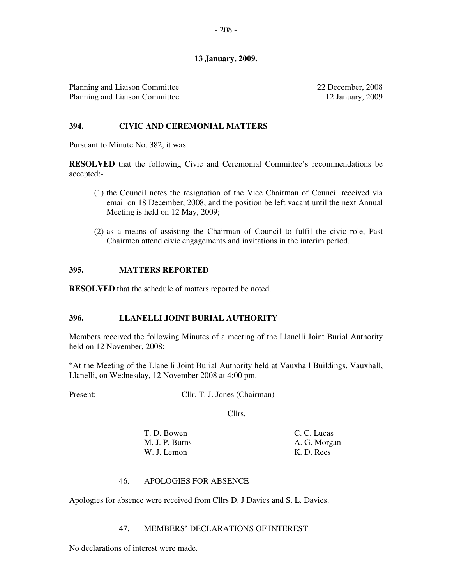Planning and Liaison Committee Planning and Liaison Committee 22 December, 2008 12 January, 2009

### **394. CIVIC AND CEREMONIAL MATTERS**

Pursuant to Minute No. 382, it was

**RESOLVED** that the following Civic and Ceremonial Committee's recommendations be accepted:-

- (1) the Council notes the resignation of the Vice Chairman of Council received via email on 18 December, 2008, and the position be left vacant until the next Annual Meeting is held on 12 May, 2009;
- (2) as a means of assisting the Chairman of Council to fulfil the civic role, Past Chairmen attend civic engagements and invitations in the interim period.

### **395. MATTERS REPORTED**

**RESOLVED** that the schedule of matters reported be noted.

### **396. LLANELLI JOINT BURIAL AUTHORITY**

Members received the following Minutes of a meeting of the Llanelli Joint Burial Authority held on 12 November, 2008:-

"At the Meeting of the Llanelli Joint Burial Authority held at Vauxhall Buildings, Vauxhall, Llanelli, on Wednesday, 12 November 2008 at 4:00 pm.

Present: Cllr. T. J. Jones (Chairman)

Cllrs.

T. D. Bowen C. C. Lucas M. J. P. Burns A. G. Morgan W. J. Lemon K. D. Rees

### 46. APOLOGIES FOR ABSENCE

Apologies for absence were received from Cllrs D. J Davies and S. L. Davies.

#### 47. MEMBERS' DECLARATIONS OF INTEREST

No declarations of interest were made.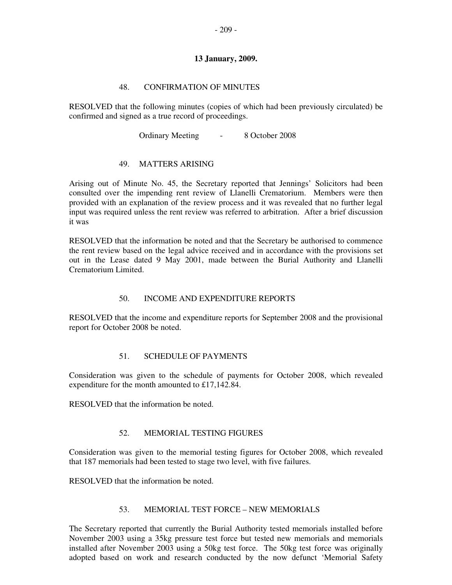## 48. CONFIRMATION OF MINUTES

RESOLVED that the following minutes (copies of which had been previously circulated) be confirmed and signed as a true record of proceedings.

Ordinary Meeting - 8 October 2008

# 49. MATTERS ARISING

Arising out of Minute No. 45, the Secretary reported that Jennings' Solicitors had been consulted over the impending rent review of Llanelli Crematorium. Members were then provided with an explanation of the review process and it was revealed that no further legal input was required unless the rent review was referred to arbitration. After a brief discussion it was

RESOLVED that the information be noted and that the Secretary be authorised to commence the rent review based on the legal advice received and in accordance with the provisions set out in the Lease dated 9 May 2001, made between the Burial Authority and Llanelli Crematorium Limited.

# 50. INCOME AND EXPENDITURE REPORTS

RESOLVED that the income and expenditure reports for September 2008 and the provisional report for October 2008 be noted.

### 51. SCHEDULE OF PAYMENTS

Consideration was given to the schedule of payments for October 2008, which revealed expenditure for the month amounted to £17,142.84.

RESOLVED that the information be noted.

# 52. MEMORIAL TESTING FIGURES

Consideration was given to the memorial testing figures for October 2008, which revealed that 187 memorials had been tested to stage two level, with five failures.

RESOLVED that the information be noted.

### 53. MEMORIAL TEST FORCE – NEW MEMORIALS

The Secretary reported that currently the Burial Authority tested memorials installed before November 2003 using a 35kg pressure test force but tested new memorials and memorials installed after November 2003 using a 50kg test force. The 50kg test force was originally adopted based on work and research conducted by the now defunct 'Memorial Safety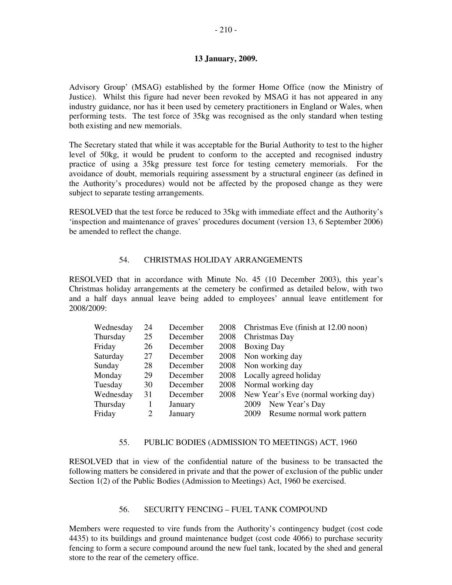Advisory Group' (MSAG) established by the former Home Office (now the Ministry of Justice). Whilst this figure had never been revoked by MSAG it has not appeared in any industry guidance, nor has it been used by cemetery practitioners in England or Wales, when performing tests. The test force of 35kg was recognised as the only standard when testing both existing and new memorials.

The Secretary stated that while it was acceptable for the Burial Authority to test to the higher level of 50kg, it would be prudent to conform to the accepted and recognised industry practice of using a 35kg pressure test force for testing cemetery memorials. For the avoidance of doubt, memorials requiring assessment by a structural engineer (as defined in the Authority's procedures) would not be affected by the proposed change as they were subject to separate testing arrangements.

RESOLVED that the test force be reduced to 35kg with immediate effect and the Authority's 'inspection and maintenance of graves' procedures document (version 13, 6 September 2006) be amended to reflect the change.

### 54. CHRISTMAS HOLIDAY ARRANGEMENTS

RESOLVED that in accordance with Minute No. 45 (10 December 2003), this year's Christmas holiday arrangements at the cemetery be confirmed as detailed below, with two and a half days annual leave being added to employees' annual leave entitlement for 2008/2009:

| Wednesday | 24 | December | 2008 | Christmas Eve (finish at 12.00 noon) |
|-----------|----|----------|------|--------------------------------------|
| Thursday  | 25 | December | 2008 | Christmas Day                        |
| Friday    | 26 | December | 2008 | <b>Boxing Day</b>                    |
| Saturday  | 27 | December | 2008 | Non working day                      |
| Sunday    | 28 | December | 2008 | Non working day                      |
| Monday    | 29 | December | 2008 | Locally agreed holiday               |
| Tuesday   | 30 | December | 2008 | Normal working day                   |
| Wednesday | 31 | December | 2008 | New Year's Eve (normal working day)  |
| Thursday  |    | January  |      | New Year's Day<br>2009               |
| Friday    |    | January  |      | Resume normal work pattern<br>2009   |

#### 55. PUBLIC BODIES (ADMISSION TO MEETINGS) ACT, 1960

RESOLVED that in view of the confidential nature of the business to be transacted the following matters be considered in private and that the power of exclusion of the public under Section 1(2) of the Public Bodies (Admission to Meetings) Act, 1960 be exercised.

#### 56. SECURITY FENCING – FUEL TANK COMPOUND

Members were requested to vire funds from the Authority's contingency budget (cost code 4435) to its buildings and ground maintenance budget (cost code 4066) to purchase security fencing to form a secure compound around the new fuel tank, located by the shed and general store to the rear of the cemetery office.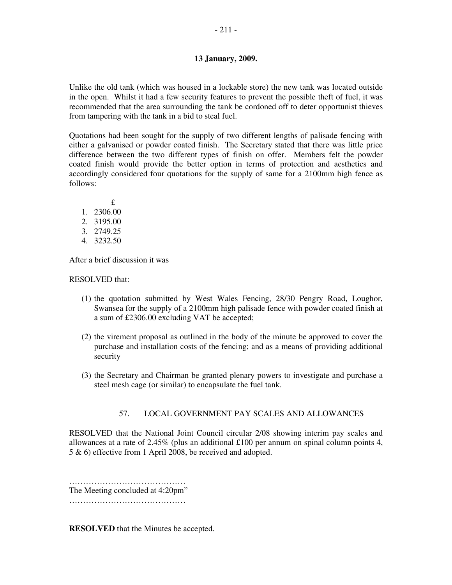Unlike the old tank (which was housed in a lockable store) the new tank was located outside in the open. Whilst it had a few security features to prevent the possible theft of fuel, it was recommended that the area surrounding the tank be cordoned off to deter opportunist thieves from tampering with the tank in a bid to steal fuel.

Quotations had been sought for the supply of two different lengths of palisade fencing with either a galvanised or powder coated finish. The Secretary stated that there was little price difference between the two different types of finish on offer. Members felt the powder coated finish would provide the better option in terms of protection and aesthetics and accordingly considered four quotations for the supply of same for a 2100mm high fence as follows:

 £ 1. 2306.00 2. 3195.00 3. 2749.25 4. 3232.50

After a brief discussion it was

RESOLVED that:

- (1) the quotation submitted by West Wales Fencing, 28/30 Pengry Road, Loughor, Swansea for the supply of a 2100mm high palisade fence with powder coated finish at a sum of £2306.00 excluding VAT be accepted;
- (2) the virement proposal as outlined in the body of the minute be approved to cover the purchase and installation costs of the fencing; and as a means of providing additional security
- (3) the Secretary and Chairman be granted plenary powers to investigate and purchase a steel mesh cage (or similar) to encapsulate the fuel tank.

# 57. LOCAL GOVERNMENT PAY SCALES AND ALLOWANCES

RESOLVED that the National Joint Council circular 2/08 showing interim pay scales and allowances at a rate of 2.45% (plus an additional £100 per annum on spinal column points 4, 5 & 6) effective from 1 April 2008, be received and adopted.

…………………………………… The Meeting concluded at 4:20pm"

……………………………………………

**RESOLVED** that the Minutes be accepted.